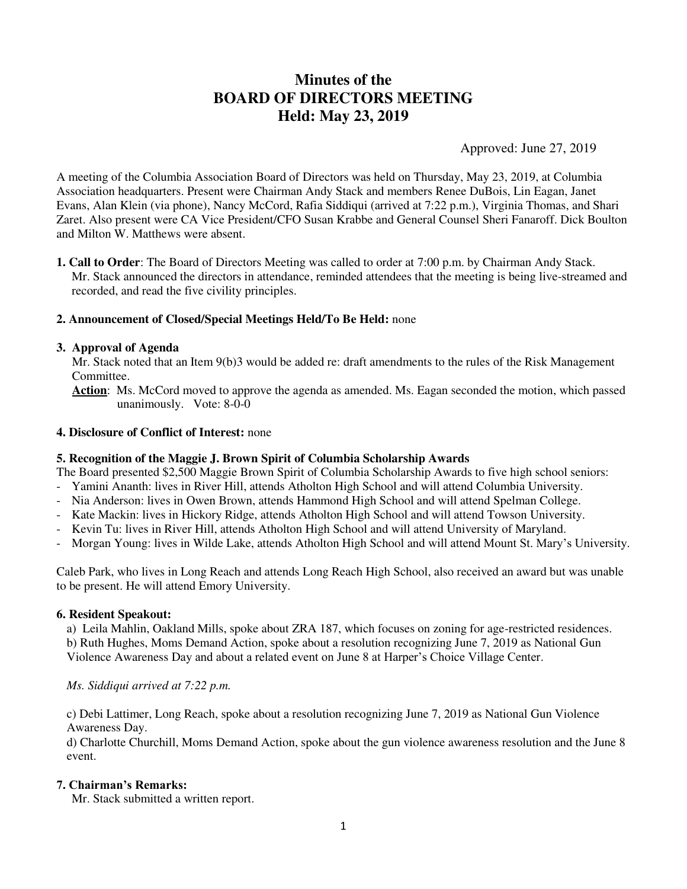# **Minutes of the BOARD OF DIRECTORS MEETING Held: May 23, 2019**

Approved: June 27, 2019

A meeting of the Columbia Association Board of Directors was held on Thursday, May 23, 2019, at Columbia Association headquarters. Present were Chairman Andy Stack and members Renee DuBois, Lin Eagan, Janet Evans, Alan Klein (via phone), Nancy McCord, Rafia Siddiqui (arrived at 7:22 p.m.), Virginia Thomas, and Shari Zaret. Also present were CA Vice President/CFO Susan Krabbe and General Counsel Sheri Fanaroff. Dick Boulton and Milton W. Matthews were absent.

**1. Call to Order**: The Board of Directors Meeting was called to order at 7:00 p.m. by Chairman Andy Stack. Mr. Stack announced the directors in attendance, reminded attendees that the meeting is being live-streamed and recorded, and read the five civility principles.

### **2. Announcement of Closed/Special Meetings Held/To Be Held:** none

#### **3. Approval of Agenda**

Mr. Stack noted that an Item 9(b)3 would be added re: draft amendments to the rules of the Risk Management Committee.

 **Action**: Ms. McCord moved to approve the agenda as amended. Ms. Eagan seconded the motion, which passed unanimously. Vote: 8-0-0

#### **4. Disclosure of Conflict of Interest:** none

#### **5. Recognition of the Maggie J. Brown Spirit of Columbia Scholarship Awards**

The Board presented \$2,500 Maggie Brown Spirit of Columbia Scholarship Awards to five high school seniors:

- Yamini Ananth: lives in River Hill, attends Atholton High School and will attend Columbia University.
- Nia Anderson: lives in Owen Brown, attends Hammond High School and will attend Spelman College.
- Kate Mackin: lives in Hickory Ridge, attends Atholton High School and will attend Towson University.
- Kevin Tu: lives in River Hill, attends Atholton High School and will attend University of Maryland.
- Morgan Young: lives in Wilde Lake, attends Atholton High School and will attend Mount St. Mary's University.

Caleb Park, who lives in Long Reach and attends Long Reach High School, also received an award but was unable to be present. He will attend Emory University.

#### **6. Resident Speakout:**

a) Leila Mahlin, Oakland Mills, spoke about ZRA 187, which focuses on zoning for age-restricted residences. b) Ruth Hughes, Moms Demand Action, spoke about a resolution recognizing June 7, 2019 as National Gun Violence Awareness Day and about a related event on June 8 at Harper's Choice Village Center.

## *Ms. Siddiqui arrived at 7:22 p.m.*

c) Debi Lattimer, Long Reach, spoke about a resolution recognizing June 7, 2019 as National Gun Violence Awareness Day.

d) Charlotte Churchill, Moms Demand Action, spoke about the gun violence awareness resolution and the June 8 event.

### **7. Chairman's Remarks:**

Mr. Stack submitted a written report.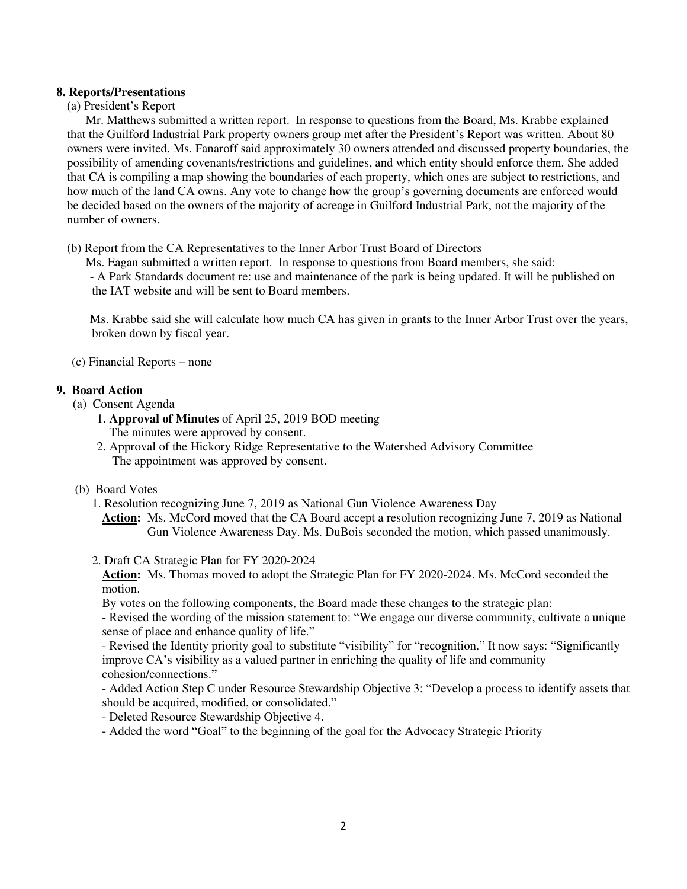## **8. Reports/Presentations**

## (a) President's Report

 Mr. Matthews submitted a written report. In response to questions from the Board, Ms. Krabbe explained that the Guilford Industrial Park property owners group met after the President's Report was written. About 80 owners were invited. Ms. Fanaroff said approximately 30 owners attended and discussed property boundaries, the possibility of amending covenants/restrictions and guidelines, and which entity should enforce them. She added that CA is compiling a map showing the boundaries of each property, which ones are subject to restrictions, and how much of the land CA owns. Any vote to change how the group's governing documents are enforced would be decided based on the owners of the majority of acreage in Guilford Industrial Park, not the majority of the number of owners.

(b) Report from the CA Representatives to the Inner Arbor Trust Board of Directors

Ms. Eagan submitted a written report. In response to questions from Board members, she said:

 - A Park Standards document re: use and maintenance of the park is being updated. It will be published on the IAT website and will be sent to Board members.

 Ms. Krabbe said she will calculate how much CA has given in grants to the Inner Arbor Trust over the years, broken down by fiscal year.

(c) Financial Reports – none

## **9. Board Action**

- (a) Consent Agenda
	- 1. **Approval of Minutes** of April 25, 2019 BOD meeting The minutes were approved by consent.
	- 2. Approval of the Hickory Ridge Representative to the Watershed Advisory Committee The appointment was approved by consent.
- (b) Board Votes
	- 1. Resolution recognizing June 7, 2019 as National Gun Violence Awareness Day

**Action:** Ms. McCord moved that the CA Board accept a resolution recognizing June 7, 2019 as National Gun Violence Awareness Day. Ms. DuBois seconded the motion, which passed unanimously.

2. Draft CA Strategic Plan for FY 2020-2024

**Action:** Ms. Thomas moved to adopt the Strategic Plan for FY 2020-2024. Ms. McCord seconded the motion.

By votes on the following components, the Board made these changes to the strategic plan:

- Revised the wording of the mission statement to: "We engage our diverse community, cultivate a unique sense of place and enhance quality of life."

- Revised the Identity priority goal to substitute "visibility" for "recognition." It now says: "Significantly improve CA's visibility as a valued partner in enriching the quality of life and community cohesion/connections."

- Added Action Step C under Resource Stewardship Objective 3: "Develop a process to identify assets that should be acquired, modified, or consolidated."

- Deleted Resource Stewardship Objective 4.

- Added the word "Goal" to the beginning of the goal for the Advocacy Strategic Priority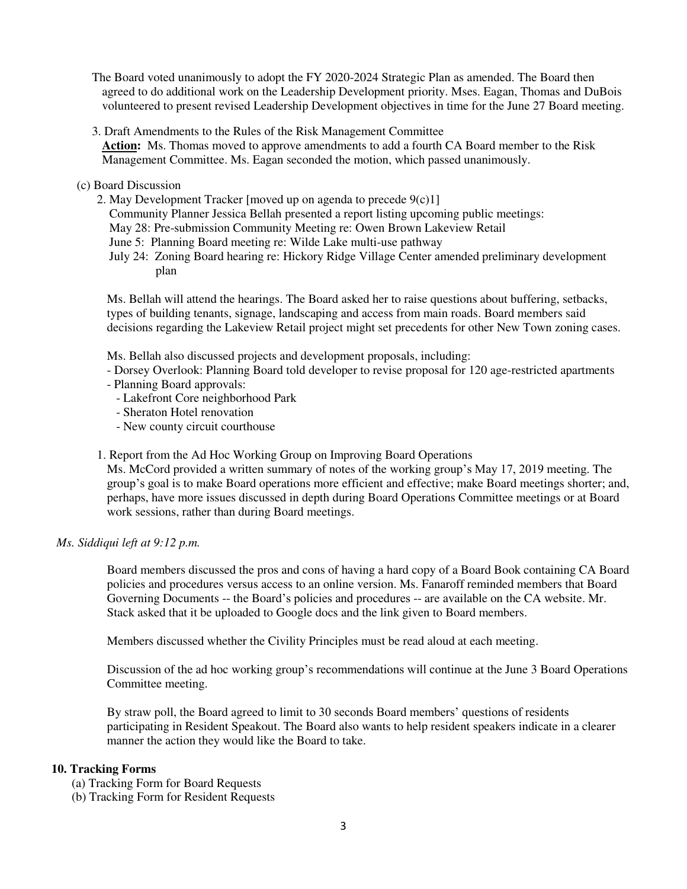The Board voted unanimously to adopt the FY 2020-2024 Strategic Plan as amended. The Board then agreed to do additional work on the Leadership Development priority. Mses. Eagan, Thomas and DuBois volunteered to present revised Leadership Development objectives in time for the June 27 Board meeting.

3. Draft Amendments to the Rules of the Risk Management Committee **Action:** Ms. Thomas moved to approve amendments to add a fourth CA Board member to the Risk Management Committee. Ms. Eagan seconded the motion, which passed unanimously.

## (c) Board Discussion

- 2. May Development Tracker [moved up on agenda to precede 9(c)1]
	- Community Planner Jessica Bellah presented a report listing upcoming public meetings:
	- May 28: Pre-submission Community Meeting re: Owen Brown Lakeview Retail
	- June 5: Planning Board meeting re: Wilde Lake multi-use pathway
	- July 24: Zoning Board hearing re: Hickory Ridge Village Center amended preliminary development plan

Ms. Bellah will attend the hearings. The Board asked her to raise questions about buffering, setbacks, types of building tenants, signage, landscaping and access from main roads. Board members said decisions regarding the Lakeview Retail project might set precedents for other New Town zoning cases.

Ms. Bellah also discussed projects and development proposals, including:

- Dorsey Overlook: Planning Board told developer to revise proposal for 120 age-restricted apartments
- Planning Board approvals:
	- Lakefront Core neighborhood Park
	- Sheraton Hotel renovation
	- New county circuit courthouse
- 1. Report from the Ad Hoc Working Group on Improving Board Operations

Ms. McCord provided a written summary of notes of the working group's May 17, 2019 meeting. The group's goal is to make Board operations more efficient and effective; make Board meetings shorter; and, perhaps, have more issues discussed in depth during Board Operations Committee meetings or at Board work sessions, rather than during Board meetings.

## *Ms. Siddiqui left at 9:12 p.m.*

Board members discussed the pros and cons of having a hard copy of a Board Book containing CA Board policies and procedures versus access to an online version. Ms. Fanaroff reminded members that Board Governing Documents -- the Board's policies and procedures -- are available on the CA website. Mr. Stack asked that it be uploaded to Google docs and the link given to Board members.

Members discussed whether the Civility Principles must be read aloud at each meeting.

Discussion of the ad hoc working group's recommendations will continue at the June 3 Board Operations Committee meeting.

By straw poll, the Board agreed to limit to 30 seconds Board members' questions of residents participating in Resident Speakout. The Board also wants to help resident speakers indicate in a clearer manner the action they would like the Board to take.

#### **10. Tracking Forms**

- (a) Tracking Form for Board Requests
- (b) Tracking Form for Resident Requests